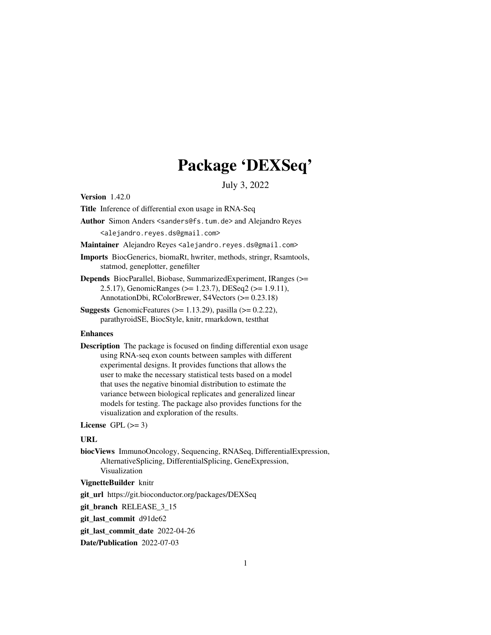## Package 'DEXSeq'

July 3, 2022

<span id="page-0-0"></span>Version 1.42.0

Title Inference of differential exon usage in RNA-Seq

Author Simon Anders <sanders@fs.tum.de> and Alejandro Reyes <alejandro.reyes.ds@gmail.com>

Maintainer Alejandro Reyes <alejandro.reyes.ds@gmail.com>

Imports BiocGenerics, biomaRt, hwriter, methods, stringr, Rsamtools, statmod, geneplotter, genefilter

Depends BiocParallel, Biobase, SummarizedExperiment, IRanges (>= 2.5.17), GenomicRanges (>= 1.23.7), DESeq2 (>= 1.9.11), AnnotationDbi, RColorBrewer, S4Vectors (>= 0.23.18)

**Suggests** GenomicFeatures ( $>= 1.13.29$ ), pasilla ( $>= 0.2.22$ ), parathyroidSE, BiocStyle, knitr, rmarkdown, testthat

#### Enhances

Description The package is focused on finding differential exon usage using RNA-seq exon counts between samples with different experimental designs. It provides functions that allows the user to make the necessary statistical tests based on a model that uses the negative binomial distribution to estimate the variance between biological replicates and generalized linear models for testing. The package also provides functions for the visualization and exploration of the results.

License GPL  $(>= 3)$ 

#### URL

biocViews ImmunoOncology, Sequencing, RNASeq, DifferentialExpression, AlternativeSplicing, DifferentialSplicing, GeneExpression, Visualization

#### VignetteBuilder knitr

git\_url https://git.bioconductor.org/packages/DEXSeq

git\_branch RELEASE\_3\_15

git\_last\_commit d91de62

git last commit date 2022-04-26

Date/Publication 2022-07-03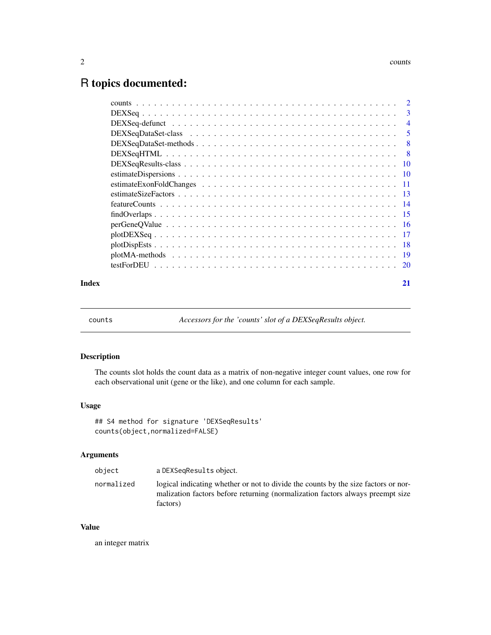### <span id="page-1-0"></span>R topics documented:

| Index | 21 |
|-------|----|

counts *Accessors for the 'counts' slot of a DEXSeqResults object.*

#### Description

The counts slot holds the count data as a matrix of non-negative integer count values, one row for each observational unit (gene or the like), and one column for each sample.

#### Usage

```
## S4 method for signature 'DEXSeqResults'
counts(object,normalized=FALSE)
```
#### Arguments

| object     | a DEXSegResults object.                                                                                                                                                          |
|------------|----------------------------------------------------------------------------------------------------------------------------------------------------------------------------------|
| normalized | logical indicating whether or not to divide the counts by the size factors or nor-<br>malization factors before returning (normalization factors always preempt size<br>factors) |

#### Value

an integer matrix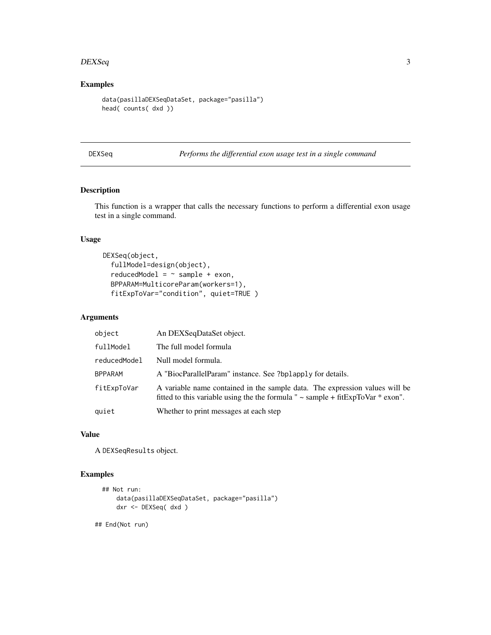#### <span id="page-2-0"></span> $DEXSeq$  3

#### Examples

```
data(pasillaDEXSeqDataSet, package="pasilla")
head( counts( dxd ))
```
DEXSeq *Performs the differential exon usage test in a single command*

#### Description

This function is a wrapper that calls the necessary functions to perform a differential exon usage test in a single command.

#### Usage

```
DEXSeq(object,
  fullModel=design(object),
  reducedModel = ~ sample + exon,BPPARAM=MulticoreParam(workers=1),
  fitExpToVar="condition", quiet=TRUE )
```
#### Arguments

| object         | An DEXSeqDataSet object.                                                                                                                                              |
|----------------|-----------------------------------------------------------------------------------------------------------------------------------------------------------------------|
| fullModel      | The full model formula                                                                                                                                                |
| reducedModel   | Null model formula.                                                                                                                                                   |
| <b>BPPARAM</b> | A "BiocParallelParam" instance. See ?bplapply for details.                                                                                                            |
| fitExpToVar    | A variable name contained in the sample data. The expression values will be<br>fitted to this variable using the the formula " $\sim$ sample + fitExpToVar $*$ exon". |
| quiet          | Whether to print messages at each step                                                                                                                                |

#### Value

A DEXSeqResults object.

#### Examples

```
## Not run:
    data(pasillaDEXSeqDataSet, package="pasilla")
    dxr <- DEXSeq( dxd )
```
## End(Not run)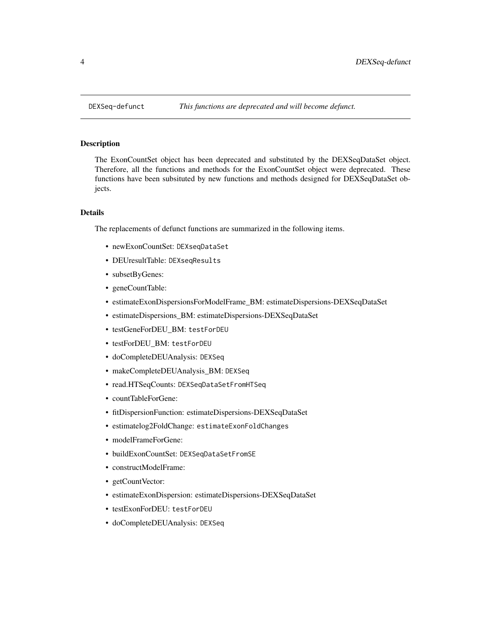<span id="page-3-0"></span>

The ExonCountSet object has been deprecated and substituted by the DEXSeqDataSet object. Therefore, all the functions and methods for the ExonCountSet object were deprecated. These functions have been subsituted by new functions and methods designed for DEXSeqDataSet objects.

#### Details

The replacements of defunct functions are summarized in the following items.

- newExonCountSet: DEXseqDataSet
- DEUresultTable: DEXseqResults
- subsetByGenes:
- geneCountTable:
- estimateExonDispersionsForModelFrame\_BM: estimateDispersions-DEXSeqDataSet
- estimateDispersions\_BM: estimateDispersions-DEXSeqDataSet
- testGeneForDEU\_BM: testForDEU
- testForDEU\_BM: testForDEU
- doCompleteDEUAnalysis: DEXSeq
- makeCompleteDEUAnalysis\_BM: DEXSeq
- read.HTSeqCounts: DEXSeqDataSetFromHTSeq
- countTableForGene:
- fitDispersionFunction: estimateDispersions-DEXSeqDataSet
- estimatelog2FoldChange: estimateExonFoldChanges
- modelFrameForGene:
- buildExonCountSet: DEXSeqDataSetFromSE
- constructModelFrame:
- getCountVector:
- estimateExonDispersion: estimateDispersions-DEXSeqDataSet
- testExonForDEU: testForDEU
- doCompleteDEUAnalysis: DEXSeq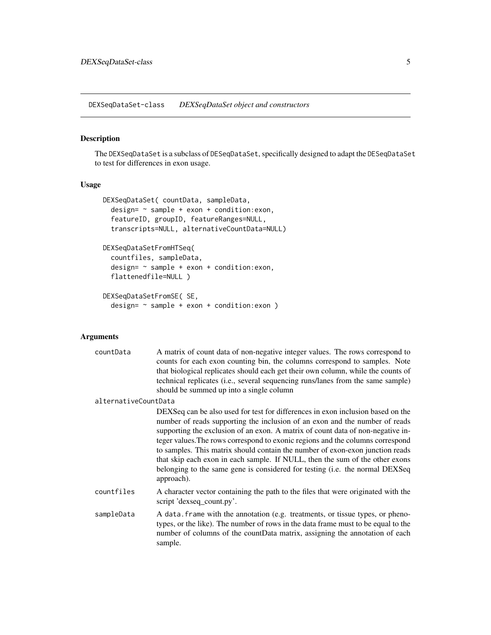<span id="page-4-0"></span>DEXSeqDataSet-class *DEXSeqDataSet object and constructors*

#### Description

The DEXSeqDataSet is a subclass of DESeqDataSet, specifically designed to adapt the DESeqDataSet to test for differences in exon usage.

#### Usage

```
DEXSeqDataSet( countData, sampleData,
 design= ~ sample + exon + condition:exon,
  featureID, groupID, featureRanges=NULL,
  transcripts=NULL, alternativeCountData=NULL)
DEXSeqDataSetFromHTSeq(
  countfiles, sampleData,
  design= ~ sample + exon + condition:exon,
  flattenedfile=NULL )
DEXSeqDataSetFromSE( SE,
  design= ~ sample + exon + condition:exon )
```
#### Arguments

| countData            | A matrix of count data of non-negative integer values. The rows correspond to<br>counts for each exon counting bin, the columns correspond to samples. Note<br>that biological replicates should each get their own column, while the counts of<br>technical replicates (i.e., several sequencing runs/lanes from the same sample)<br>should be summed up into a single column                                                                                                                                                                                                                     |
|----------------------|----------------------------------------------------------------------------------------------------------------------------------------------------------------------------------------------------------------------------------------------------------------------------------------------------------------------------------------------------------------------------------------------------------------------------------------------------------------------------------------------------------------------------------------------------------------------------------------------------|
| alternativeCountData |                                                                                                                                                                                                                                                                                                                                                                                                                                                                                                                                                                                                    |
|                      | DEXSeq can be also used for test for differences in exon inclusion based on the<br>number of reads supporting the inclusion of an exon and the number of reads<br>supporting the exclusion of an exon. A matrix of count data of non-negative in-<br>teger values. The rows correspond to exonic regions and the columns correspond<br>to samples. This matrix should contain the number of exon-exon junction reads<br>that skip each exon in each sample. If NULL, then the sum of the other exons<br>belonging to the same gene is considered for testing (i.e. the normal DEXSeq<br>approach). |
| countfiles           | A character vector containing the path to the files that were originated with the<br>script 'dexseq_count.py'.                                                                                                                                                                                                                                                                                                                                                                                                                                                                                     |
| sampleData           | A data. frame with the annotation (e.g. treatments, or tissue types, or pheno-<br>types, or the like). The number of rows in the data frame must to be equal to the<br>number of columns of the countData matrix, assigning the annotation of each<br>sample.                                                                                                                                                                                                                                                                                                                                      |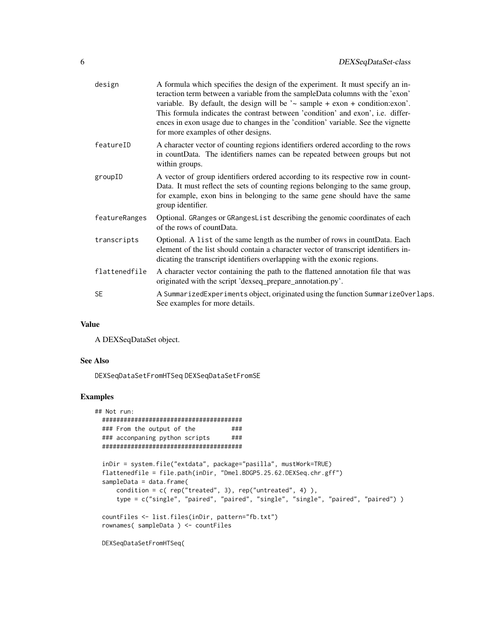| design        | A formula which specifies the design of the experiment. It must specify an in-<br>teraction term between a variable from the sampleData columns with the 'exon'<br>variable. By default, the design will be $\sim$ sample + exon + condition: exon'.<br>This formula indicates the contrast between 'condition' and exon', i.e. differ-<br>ences in exon usage due to changes in the 'condition' variable. See the vignette<br>for more examples of other designs. |
|---------------|--------------------------------------------------------------------------------------------------------------------------------------------------------------------------------------------------------------------------------------------------------------------------------------------------------------------------------------------------------------------------------------------------------------------------------------------------------------------|
| featureID     | A character vector of counting regions identifiers ordered according to the rows<br>in countData. The identifiers names can be repeated between groups but not<br>within groups.                                                                                                                                                                                                                                                                                   |
| groupID       | A vector of group identifiers ordered according to its respective row in count-<br>Data. It must reflect the sets of counting regions belonging to the same group,<br>for example, exon bins in belonging to the same gene should have the same<br>group identifier.                                                                                                                                                                                               |
| featureRanges | Optional. GRanges or GRanges List describing the genomic coordinates of each<br>of the rows of countData.                                                                                                                                                                                                                                                                                                                                                          |
| transcripts   | Optional. A list of the same length as the number of rows in countData. Each<br>element of the list should contain a character vector of transcript identifiers in-<br>dicating the transcript identifiers overlapping with the exonic regions.                                                                                                                                                                                                                    |
| flattenedfile | A character vector containing the path to the flattened annotation file that was<br>originated with the script 'dexseq_prepare_annotation.py'.                                                                                                                                                                                                                                                                                                                     |
| <b>SE</b>     | A SummarizedExperiments object, originated using the function SummarizeOverlaps.<br>See examples for more details.                                                                                                                                                                                                                                                                                                                                                 |
|               |                                                                                                                                                                                                                                                                                                                                                                                                                                                                    |

#### Value

A DEXSeqDataSet object.

#### See Also

DEXSeqDataSetFromHTSeq DEXSeqDataSetFromSE

```
## Not run:
 #######################################
 ### From the output of the ####
 ### acconpaning python scripts ###
 #######################################
 inDir = system.file("extdata", package="pasilla", mustWork=TRUE)
 flattenedfile = file.path(inDir, "Dmel.BDGP5.25.62.DEXSeq.chr.gff")
 sampleData = data.frame(
     condition = c( rep("treated", 3), rep("untreated", 4) ),
     type = c("single", "paired", "paired", "single", "single", "paired", "paired") )
 countFiles <- list.files(inDir, pattern="fb.txt")
 rownames( sampleData ) <- countFiles
 DEXSeqDataSetFromHTSeq(
```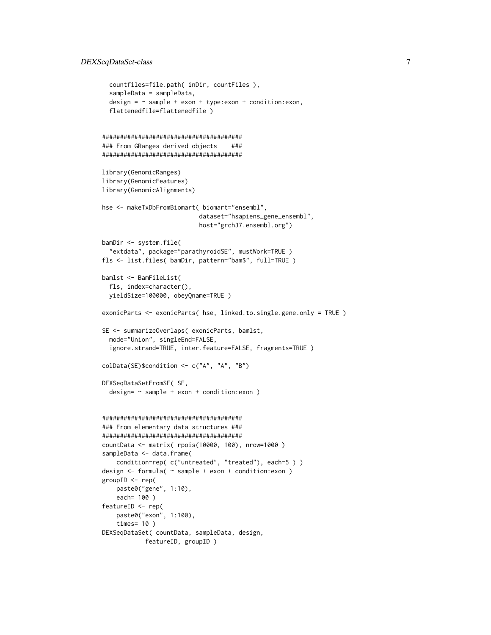#### DEXSeqDataSet-class 7

```
countfiles=file.path( inDir, countFiles ),
  sampleData = sampleData,
  design = \sim sample + exon + type:exon + condition:exon,
  flattenedfile=flattenedfile )
#######################################
### From GRanges derived objects ###
#######################################
library(GenomicRanges)
library(GenomicFeatures)
library(GenomicAlignments)
hse <- makeTxDbFromBiomart( biomart="ensembl",
                           dataset="hsapiens_gene_ensembl",
                           host="grch37.ensembl.org")
bamDir <- system.file(
  "extdata", package="parathyroidSE", mustWork=TRUE )
fls <- list.files( bamDir, pattern="bam$", full=TRUE )
bamlst <- BamFileList(
  fls, index=character(),
  yieldSize=100000, obeyQname=TRUE )
exonicParts <- exonicParts( hse, linked.to.single.gene.only = TRUE )
SE <- summarizeOverlaps( exonicParts, bamlst,
  mode="Union", singleEnd=FALSE,
  ignore.strand=TRUE, inter.feature=FALSE, fragments=TRUE )
colData(SE)$condition <- c("A", "A", "B")
DEXSeqDataSetFromSE( SE,
  design= ~ sample + exon + condition:exon )
#######################################
### From elementary data structures ###
#######################################
countData <- matrix( rpois(10000, 100), nrow=1000 )
sampleData <- data.frame(
    condition=rep( c("untreated", "treated"), each=5 ) )
design <- formula( ~ sample + exon + condition:exon )
groupID <- rep(
    paste0("gene", 1:10),
    each= 100 )
featureID <- rep(
    paste0("exon", 1:100),
    times= 10 )
DEXSeqDataSet( countData, sampleData, design,
            featureID, groupID )
```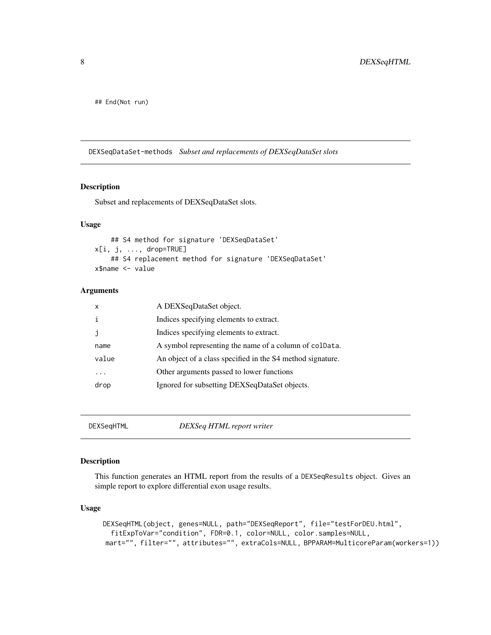<span id="page-7-0"></span>## End(Not run)

DEXSeqDataSet-methods *Subset and replacements of DEXSeqDataSet slots*

#### Description

Subset and replacements of DEXSeqDataSet slots.

#### Usage

```
## S4 method for signature 'DEXSeqDataSet'
x[i, j, ..., drop=TRUE]
    ## S4 replacement method for signature 'DEXSeqDataSet'
x$name <- value
```
#### Arguments

| x     | A DEXSeqDataSet object.                                    |
|-------|------------------------------------------------------------|
|       | Indices specifying elements to extract.                    |
| ٦     | Indices specifying elements to extract.                    |
| name  | A symbol representing the name of a column of coldata.     |
| value | An object of a class specified in the S4 method signature. |
| .     | Other arguments passed to lower functions                  |
| drop  | Ignored for subsetting DEXSeqDataSet objects.              |

DEXSeqHTML *DEXSeq HTML report writer*

#### Description

This function generates an HTML report from the results of a DEXSeqResults object. Gives an simple report to explore differential exon usage results.

#### Usage

```
DEXSeqHTML(object, genes=NULL, path="DEXSeqReport", file="testForDEU.html",
  fitExpToVar="condition", FDR=0.1, color=NULL, color.samples=NULL,
mart="", filter="", attributes="", extraCols=NULL, BPPARAM=MulticoreParam(workers=1))
```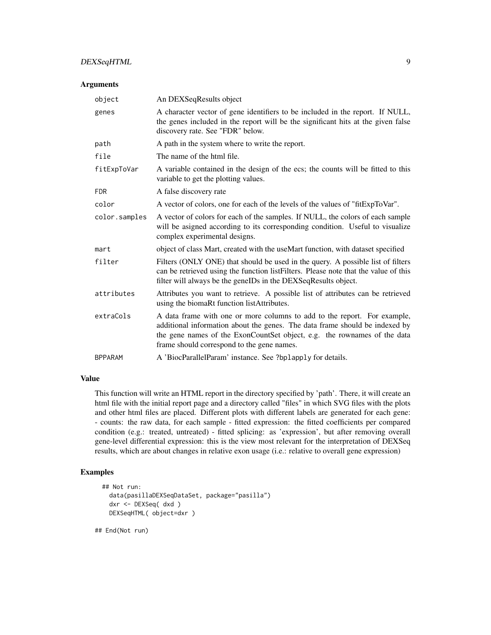#### DEXSeqHTML 9

#### Arguments

| object         | An DEXSeqResults object                                                                                                                                                                                                                                                           |
|----------------|-----------------------------------------------------------------------------------------------------------------------------------------------------------------------------------------------------------------------------------------------------------------------------------|
| genes          | A character vector of gene identifiers to be included in the report. If NULL,<br>the genes included in the report will be the significant hits at the given false<br>discovery rate. See "FDR" below.                                                                             |
| path           | A path in the system where to write the report.                                                                                                                                                                                                                                   |
| file           | The name of the html file.                                                                                                                                                                                                                                                        |
| fitExpToVar    | A variable contained in the design of the ecs; the counts will be fitted to this<br>variable to get the plotting values.                                                                                                                                                          |
| <b>FDR</b>     | A false discovery rate                                                                                                                                                                                                                                                            |
| color          | A vector of colors, one for each of the levels of the values of "fitExpToVar".                                                                                                                                                                                                    |
| color.samples  | A vector of colors for each of the samples. If NULL, the colors of each sample<br>will be asigned according to its corresponding condition. Useful to visualize<br>complex experimental designs.                                                                                  |
| mart           | object of class Mart, created with the useMart function, with dataset specified                                                                                                                                                                                                   |
| filter         | Filters (ONLY ONE) that should be used in the query. A possible list of filters<br>can be retrieved using the function listFilters. Please note that the value of this<br>filter will always be the geneIDs in the DEXSeqResults object.                                          |
| attributes     | Attributes you want to retrieve. A possible list of attributes can be retrieved<br>using the biomaRt function listAttributes.                                                                                                                                                     |
| extraCols      | A data frame with one or more columns to add to the report. For example,<br>additional information about the genes. The data frame should be indexed by<br>the gene names of the ExonCountSet object, e.g. the rownames of the data<br>frame should correspond to the gene names. |
| <b>BPPARAM</b> | A 'BiocParallelParam' instance. See ?bplapply for details.                                                                                                                                                                                                                        |

#### Value

This function will write an HTML report in the directory specified by 'path'. There, it will create an html file with the initial report page and a directory called "files" in which SVG files with the plots and other html files are placed. Different plots with different labels are generated for each gene: - counts: the raw data, for each sample - fitted expression: the fitted coefficients per compared condition (e.g.: treated, untreated) - fitted splicing: as 'expression', but after removing overall gene-level differential expression: this is the view most relevant for the interpretation of DEXSeq results, which are about changes in relative exon usage (i.e.: relative to overall gene expression)

#### Examples

```
## Not run:
  data(pasillaDEXSeqDataSet, package="pasilla")
  dxr <- DEXSeq( dxd )
  DEXSeqHTML( object=dxr )
```
## End(Not run)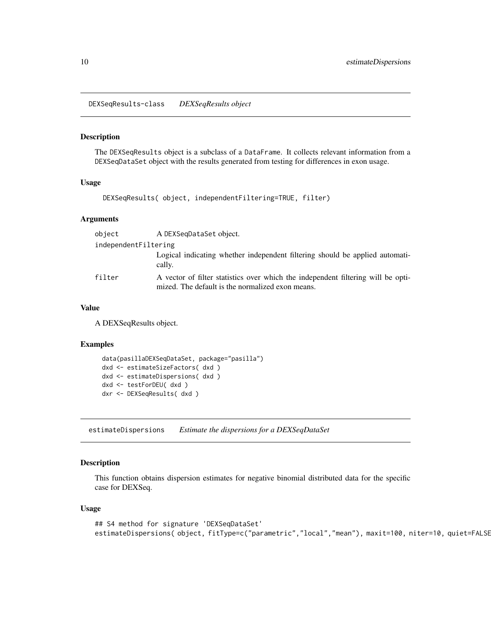<span id="page-9-0"></span>DEXSeqResults-class *DEXSeqResults object*

#### Description

The DEXSeqResults object is a subclass of a DataFrame. It collects relevant information from a DEXSeqDataSet object with the results generated from testing for differences in exon usage.

#### Usage

```
DEXSeqResults( object, independentFiltering=TRUE, filter)
```
#### Arguments

| object               | A DEXSegDataSet object.                                                                                                              |
|----------------------|--------------------------------------------------------------------------------------------------------------------------------------|
| independentFiltering |                                                                                                                                      |
|                      | Logical indicating whether independent filtering should be applied automati-<br>cally.                                               |
| filter               | A vector of filter statistics over which the independent filtering will be opti-<br>mized. The default is the normalized exon means. |

#### Value

A DEXSeqResults object.

#### Examples

```
data(pasillaDEXSeqDataSet, package="pasilla")
dxd <- estimateSizeFactors( dxd )
dxd <- estimateDispersions( dxd )
dxd <- testForDEU( dxd )
dxr <- DEXSeqResults( dxd )
```
estimateDispersions *Estimate the dispersions for a DEXSeqDataSet*

#### Description

This function obtains dispersion estimates for negative binomial distributed data for the specific case for DEXSeq.

#### Usage

```
## S4 method for signature 'DEXSeqDataSet'
estimateDispersions( object, fitType=c("parametric","local","mean"), maxit=100, niter=10, quiet=FALSE
```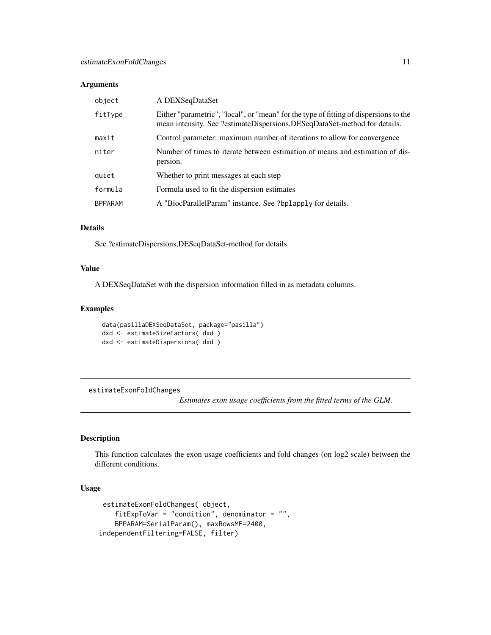#### <span id="page-10-0"></span>Arguments

| object         | A DEXSeqDataSet                                                                                                                                                    |
|----------------|--------------------------------------------------------------------------------------------------------------------------------------------------------------------|
| fitType        | Either "parametric", "local", or "mean" for the type of fitting of dispersions to the<br>mean intensity. See ?estimateDispersions,DESeqDataSet-method for details. |
| maxit          | Control parameter: maximum number of iterations to allow for convergence                                                                                           |
| niter          | Number of times to iterate between estimation of means and estimation of dis-<br>persion.                                                                          |
| quiet          | Whether to print messages at each step                                                                                                                             |
| formula        | Formula used to fit the dispersion estimates                                                                                                                       |
| <b>BPPARAM</b> | A "BiocParallelParam" instance. See ?bplapply for details.                                                                                                         |

#### Details

See ?estimateDispersions,DESeqDataSet-method for details.

#### Value

A DEXSeqDataSet with the dispersion information filled in as metadata columns.

#### Examples

```
data(pasillaDEXSeqDataSet, package="pasilla")
dxd <- estimateSizeFactors( dxd )
dxd <- estimateDispersions( dxd )
```
estimateExonFoldChanges

*Estimates exon usage coefficients from the fitted terms of the GLM.*

#### Description

This function calculates the exon usage coefficients and fold changes (on log2 scale) between the different conditions.

#### Usage

```
estimateExonFoldChanges( object,
    fitExpToVar = "condition", denominator = ",
    BPPARAM=SerialParam(), maxRowsMF=2400,
independentFiltering=FALSE, filter)
```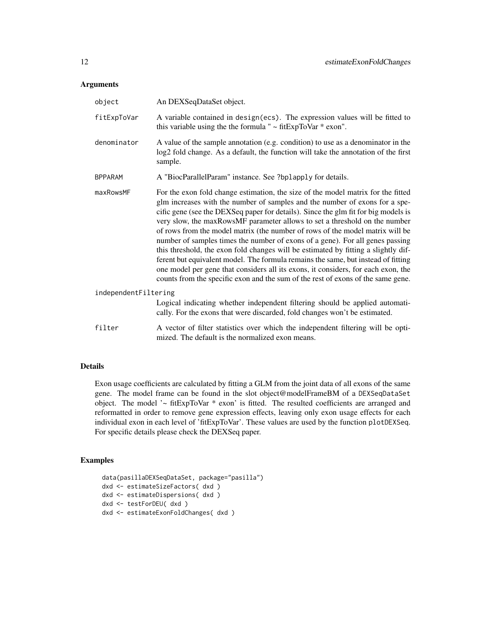#### Arguments

| object               | An DEXSeqDataSet object.                                                                                                                                                                                                                                                                                                                                                                                                                                                                                                                                                                                                                                                                                                                                                                                                                                  |
|----------------------|-----------------------------------------------------------------------------------------------------------------------------------------------------------------------------------------------------------------------------------------------------------------------------------------------------------------------------------------------------------------------------------------------------------------------------------------------------------------------------------------------------------------------------------------------------------------------------------------------------------------------------------------------------------------------------------------------------------------------------------------------------------------------------------------------------------------------------------------------------------|
| fitExpToVar          | A variable contained in design(ecs). The expression values will be fitted to<br>this variable using the the formula " $\sim$ fitExpToVar $*$ exon".                                                                                                                                                                                                                                                                                                                                                                                                                                                                                                                                                                                                                                                                                                       |
| denominator          | A value of the sample annotation (e.g. condition) to use as a denominator in the<br>log2 fold change. As a default, the function will take the annotation of the first<br>sample.                                                                                                                                                                                                                                                                                                                                                                                                                                                                                                                                                                                                                                                                         |
| <b>BPPARAM</b>       | A "BiocParallelParam" instance. See ?bplapply for details.                                                                                                                                                                                                                                                                                                                                                                                                                                                                                                                                                                                                                                                                                                                                                                                                |
| maxRowsMF            | For the exon fold change estimation, the size of the model matrix for the fitted<br>glm increases with the number of samples and the number of exons for a spe-<br>cific gene (see the DEXSeq paper for details). Since the glm fit for big models is<br>very slow, the maxRowsMF parameter allows to set a threshold on the number<br>of rows from the model matrix (the number of rows of the model matrix will be<br>number of samples times the number of exons of a gene). For all genes passing<br>this threshold, the exon fold changes will be estimated by fitting a slightly dif-<br>ferent but equivalent model. The formula remains the same, but instead of fitting<br>one model per gene that considers all its exons, it considers, for each exon, the<br>counts from the specific exon and the sum of the rest of exons of the same gene. |
| independentFiltering |                                                                                                                                                                                                                                                                                                                                                                                                                                                                                                                                                                                                                                                                                                                                                                                                                                                           |
|                      | Logical indicating whether independent filtering should be applied automati-<br>cally. For the exons that were discarded, fold changes won't be estimated.                                                                                                                                                                                                                                                                                                                                                                                                                                                                                                                                                                                                                                                                                                |
| filter               | A vector of filter statistics over which the independent filtering will be opti-<br>mized. The default is the normalized exon means.                                                                                                                                                                                                                                                                                                                                                                                                                                                                                                                                                                                                                                                                                                                      |

#### Details

Exon usage coefficients are calculated by fitting a GLM from the joint data of all exons of the same gene. The model frame can be found in the slot object@modelFrameBM of a DEXSeqDataSet object. The model '~ fitExpToVar \* exon' is fitted. The resulted coefficients are arranged and reformatted in order to remove gene expression effects, leaving only exon usage effects for each individual exon in each level of 'fitExpToVar'. These values are used by the function plotDEXSeq. For specific details please check the DEXSeq paper.

```
data(pasillaDEXSeqDataSet, package="pasilla")
dxd <- estimateSizeFactors( dxd )
dxd <- estimateDispersions( dxd )
dxd <- testForDEU( dxd )
dxd <- estimateExonFoldChanges( dxd )
```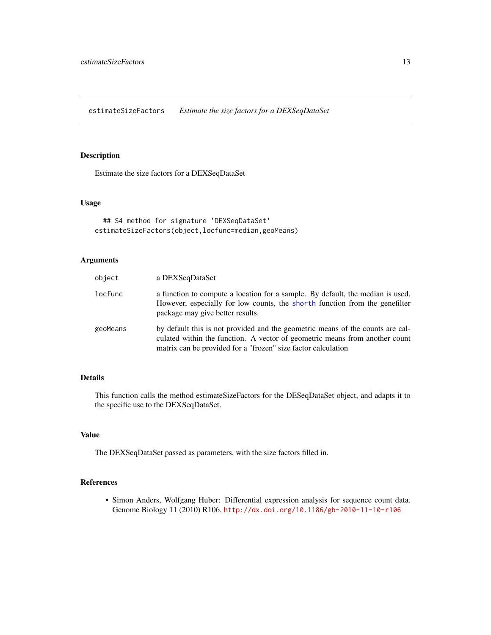<span id="page-12-0"></span>estimateSizeFactors *Estimate the size factors for a DEXSeqDataSet*

#### Description

Estimate the size factors for a DEXSeqDataSet

#### Usage

```
## S4 method for signature 'DEXSeqDataSet'
estimateSizeFactors(object,locfunc=median,geoMeans)
```
#### Arguments

| object   | a DEXSeqDataSet                                                                                                                                                                                                                |
|----------|--------------------------------------------------------------------------------------------------------------------------------------------------------------------------------------------------------------------------------|
| locfunc  | a function to compute a location for a sample. By default, the median is used.<br>However, especially for low counts, the shorth function from the genefilter<br>package may give better results.                              |
| geoMeans | by default this is not provided and the geometric means of the counts are cal-<br>culated within the function. A vector of geometric means from another count<br>matrix can be provided for a "frozen" size factor calculation |

#### Details

This function calls the method estimateSizeFactors for the DESeqDataSet object, and adapts it to the specific use to the DEXSeqDataSet.

#### Value

The DEXSeqDataSet passed as parameters, with the size factors filled in.

#### References

• Simon Anders, Wolfgang Huber: Differential expression analysis for sequence count data. Genome Biology 11 (2010) R106, <http://dx.doi.org/10.1186/gb-2010-11-10-r106>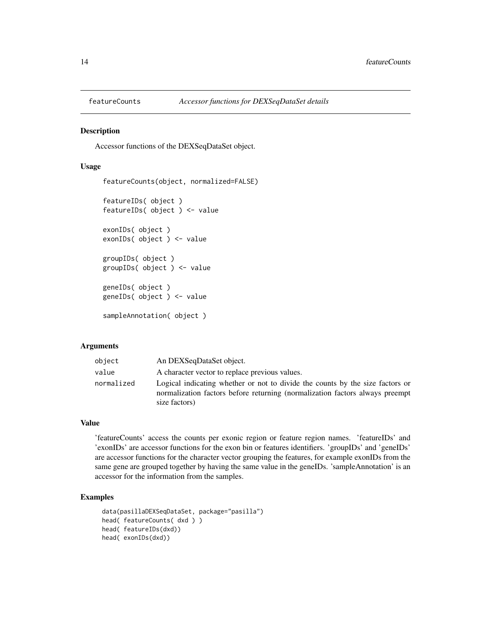<span id="page-13-0"></span>

Accessor functions of the DEXSeqDataSet object.

#### Usage

```
featureCounts(object, normalized=FALSE)
featureIDs( object )
featureIDs( object ) <- value
exonIDs( object )
exonIDs( object ) <- value
groupIDs( object )
groupIDs( object ) <- value
geneIDs( object )
geneIDs( object ) <- value
sampleAnnotation( object )
```
#### Arguments

| object     | An DEXSeqDataSet object.                                                                                                                                                       |
|------------|--------------------------------------------------------------------------------------------------------------------------------------------------------------------------------|
| value      | A character vector to replace previous values.                                                                                                                                 |
| normalized | Logical indicating whether or not to divide the counts by the size factors or<br>normalization factors before returning (normalization factors always preempt<br>size factors) |

#### Value

'featureCounts' access the counts per exonic region or feature region names. 'featureIDs' and 'exonIDs' are accessor functions for the exon bin or features identifiers. 'groupIDs' and 'geneIDs' are accessor functions for the character vector grouping the features, for example exonIDs from the same gene are grouped together by having the same value in the geneIDs. 'sampleAnnotation' is an accessor for the information from the samples.

```
data(pasillaDEXSeqDataSet, package="pasilla")
head( featureCounts( dxd ) )
head( featureIDs(dxd))
head( exonIDs(dxd))
```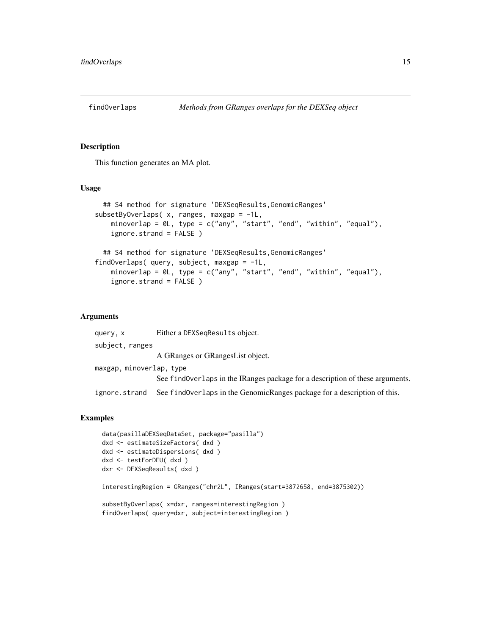<span id="page-14-0"></span>

This function generates an MA plot.

#### Usage

```
## S4 method for signature 'DEXSeqResults,GenomicRanges'
subsetByOverlaps( x, ranges, maxgap = -1L,
   minoverlap = 0L, type = c("any", "start", "end", "within", "equal"),
    ignore.strand = FALSE )
 ## S4 method for signature 'DEXSeqResults, GenomicRanges'
findOverlaps( query, subject, maxgap = -1L,
   minoverlap = 0L, type = c("any", "start", "end", "within", "equal"),
    ignore.strand = FALSE )
```
#### Arguments

query, x Either a DEXSeqResults object. subject, ranges A GRanges or GRangesList object. maxgap, minoverlap, type See findOverlaps in the IRanges package for a description of these arguments. ignore.strand See findOverlaps in the GenomicRanges package for a description of this.

```
data(pasillaDEXSeqDataSet, package="pasilla")
dxd <- estimateSizeFactors( dxd )
dxd <- estimateDispersions( dxd )
dxd <- testForDEU( dxd )
dxr <- DEXSeqResults( dxd )
interestingRegion = GRanges("chr2L", IRanges(start=3872658, end=3875302))
subsetByOverlaps( x=dxr, ranges=interestingRegion )
findOverlaps( query=dxr, subject=interestingRegion )
```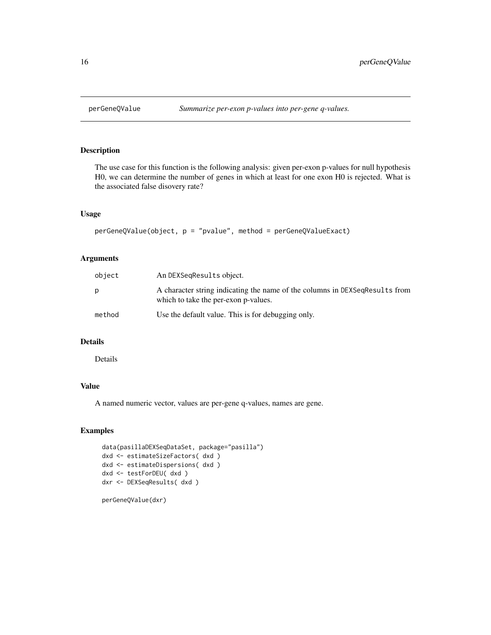<span id="page-15-0"></span>

The use case for this function is the following analysis: given per-exon p-values for null hypothesis H0, we can determine the number of genes in which at least for one exon H0 is rejected. What is the associated false disovery rate?

#### Usage

```
perGeneQValue(object, p = "pvalue", method = perGeneQValueExact)
```
#### Arguments

| object | An DEXSeqResults object.                                                                                            |
|--------|---------------------------------------------------------------------------------------------------------------------|
| p      | A character string indicating the name of the columns in DEXSeqResults from<br>which to take the per-exon p-values. |
| method | Use the default value. This is for debugging only.                                                                  |

#### Details

Details

#### Value

A named numeric vector, values are per-gene q-values, names are gene.

#### Examples

```
data(pasillaDEXSeqDataSet, package="pasilla")
dxd <- estimateSizeFactors( dxd )
dxd <- estimateDispersions( dxd )
dxd <- testForDEU( dxd )
dxr <- DEXSeqResults( dxd )
```
perGeneQValue(dxr)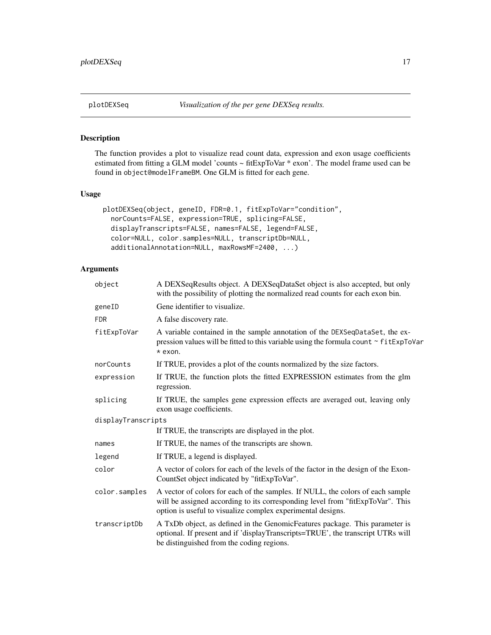<span id="page-16-0"></span>

The function provides a plot to visualize read count data, expression and exon usage coefficients estimated from fitting a GLM model 'counts ~ fitExpToVar \* exon'. The model frame used can be found in object@modelFrameBM. One GLM is fitted for each gene.

#### Usage

```
plotDEXSeq(object, geneID, FDR=0.1, fitExpToVar="condition",
  norCounts=FALSE, expression=TRUE, splicing=FALSE,
  displayTranscripts=FALSE, names=FALSE, legend=FALSE,
  color=NULL, color.samples=NULL, transcriptDb=NULL,
  additionalAnnotation=NULL, maxRowsMF=2400, ...)
```
#### Arguments

| object             | A DEXSeqResults object. A DEXSeqDataSet object is also accepted, but only<br>with the possibility of plotting the normalized read counts for each exon bin.                                                                     |
|--------------------|---------------------------------------------------------------------------------------------------------------------------------------------------------------------------------------------------------------------------------|
| geneID             | Gene identifier to visualize.                                                                                                                                                                                                   |
| <b>FDR</b>         | A false discovery rate.                                                                                                                                                                                                         |
| fitExpToVar        | A variable contained in the sample annotation of the DEXSeqDataSet, the ex-<br>pression values will be fitted to this variable using the formula count ~ fitExpToVar<br>* exon.                                                 |
| norCounts          | If TRUE, provides a plot of the counts normalized by the size factors.                                                                                                                                                          |
| expression         | If TRUE, the function plots the fitted EXPRESSION estimates from the glm<br>regression.                                                                                                                                         |
| splicing           | If TRUE, the samples gene expression effects are averaged out, leaving only<br>exon usage coefficients.                                                                                                                         |
| displayTranscripts |                                                                                                                                                                                                                                 |
|                    | If TRUE, the transcripts are displayed in the plot.                                                                                                                                                                             |
| names              | If TRUE, the names of the transcripts are shown.                                                                                                                                                                                |
| legend             | If TRUE, a legend is displayed.                                                                                                                                                                                                 |
| color              | A vector of colors for each of the levels of the factor in the design of the Exon-<br>CountSet object indicated by "fitExpToVar".                                                                                               |
| color.samples      | A vector of colors for each of the samples. If NULL, the colors of each sample<br>will be assigned according to its corresponding level from "fitExpToVar". This<br>option is useful to visualize complex experimental designs. |
| transcriptDb       | A TxDb object, as defined in the GenomicFeatures package. This parameter is<br>optional. If present and if 'displayTranscripts=TRUE', the transcript UTRs will<br>be distinguished from the coding regions.                     |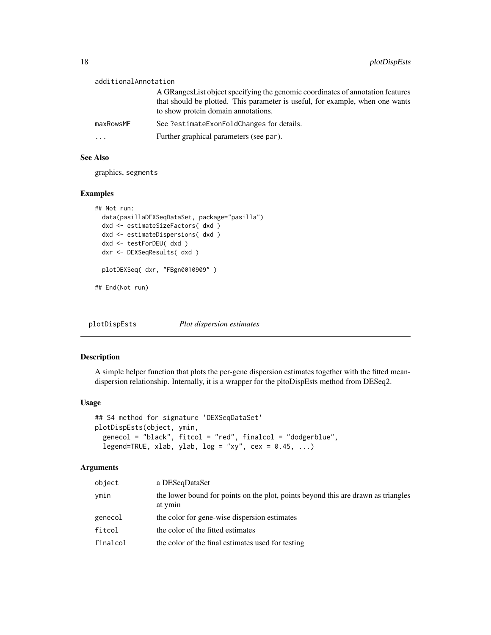<span id="page-17-0"></span>

| additionalAnnotation |                                                                                                                                                                                                         |  |
|----------------------|---------------------------------------------------------------------------------------------------------------------------------------------------------------------------------------------------------|--|
|                      | A GRanges List object specifying the genomic coordinates of annotation features<br>that should be plotted. This parameter is useful, for example, when one wants<br>to show protein domain annotations. |  |
| maxRowsMF            | See ?estimateExonFoldChanges for details.                                                                                                                                                               |  |
| .                    | Further graphical parameters (see par).                                                                                                                                                                 |  |

#### See Also

graphics, segments

#### Examples

```
## Not run:
 data(pasillaDEXSeqDataSet, package="pasilla")
 dxd <- estimateSizeFactors( dxd )
 dxd <- estimateDispersions( dxd )
 dxd <- testForDEU( dxd )
 dxr <- DEXSeqResults( dxd )
 plotDEXSeq( dxr, "FBgn0010909" )
```
## End(Not run)

plotDispEsts *Plot dispersion estimates*

#### Description

A simple helper function that plots the per-gene dispersion estimates together with the fitted meandispersion relationship. Internally, it is a wrapper for the pltoDispEsts method from DESeq2.

#### Usage

```
## S4 method for signature 'DEXSeqDataSet'
plotDispEsts(object, ymin,
  genecol = "black", fitcol = "red", finalcol = "dodgerblue",
  legend=TRUE, xlab, ylab, log = "xy", cex = 0.45, ...)
```
#### Arguments

| object   | a DESegDataSet                                                                               |
|----------|----------------------------------------------------------------------------------------------|
| ymin     | the lower bound for points on the plot, points beyond this are drawn as triangles<br>at ymin |
| genecol  | the color for gene-wise dispersion estimates                                                 |
| fitcol   | the color of the fitted estimates                                                            |
| finalcol | the color of the final estimates used for testing                                            |
|          |                                                                                              |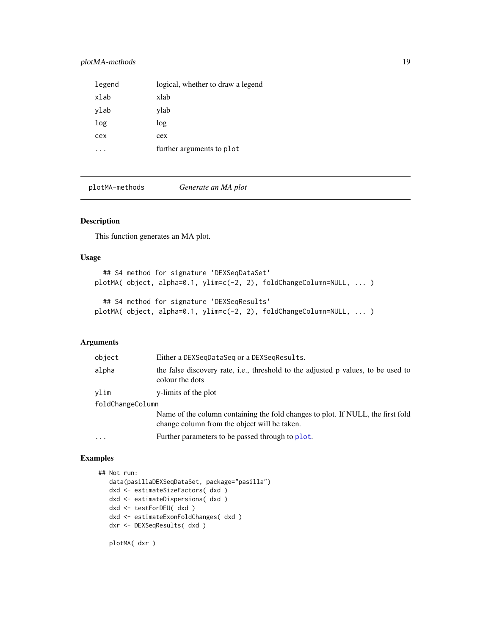#### <span id="page-18-0"></span>plotMA-methods 19

| legend | logical, whether to draw a legend |
|--------|-----------------------------------|
| xlab   | xlab                              |
| ylab   | ylab                              |
| log    | log                               |
| cex    | cex                               |
|        | further arguments to plot         |

plotMA-methods *Generate an MA plot*

#### Description

This function generates an MA plot.

#### Usage

```
## S4 method for signature 'DEXSeqDataSet'
plotMA( object, alpha=0.1, ylim=c(-2, 2), foldChangeColumn=NULL, ... )
  ## S4 method for signature 'DEXSeqResults'
plotMA( object, alpha=0.1, ylim=c(-2, 2), foldChangeColumn=NULL, ... )
```
#### Arguments

| object           | Either a DEXSegDataSeg or a DEXSegResults.                                                                                      |  |
|------------------|---------------------------------------------------------------------------------------------------------------------------------|--|
| alpha            | the false discovery rate, i.e., threshold to the adjusted p values, to be used to<br>colour the dots                            |  |
| vlim             | y-limits of the plot                                                                                                            |  |
| foldChangeColumn |                                                                                                                                 |  |
|                  | Name of the column containing the fold changes to plot. If NULL, the first fold<br>change column from the object will be taken. |  |
| .                | Further parameters to be passed through to plot.                                                                                |  |
|                  |                                                                                                                                 |  |

#### Examples

```
## Not run:
  data(pasillaDEXSeqDataSet, package="pasilla")
  dxd <- estimateSizeFactors( dxd )
  dxd <- estimateDispersions( dxd )
  dxd <- testForDEU( dxd )
  dxd <- estimateExonFoldChanges( dxd )
  dxr <- DEXSeqResults( dxd )
```
plotMA( dxr )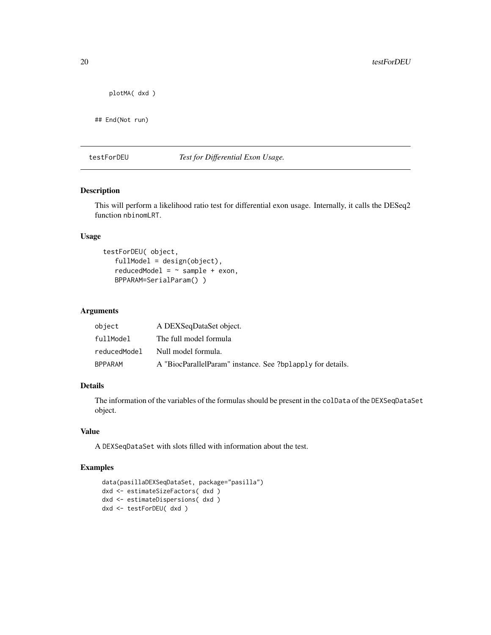```
plotMA( dxd )
```
## End(Not run)

#### testForDEU *Test for Differential Exon Usage.*

#### Description

This will perform a likelihood ratio test for differential exon usage. Internally, it calls the DESeq2 function nbinomLRT.

#### Usage

```
testForDEU( object,
   fullModel = design(object),
   reducedModel = \sim sample + exon,
   BPPARAM=SerialParam() )
```
#### Arguments

| object       | A DEXSeqDataSet object.                                    |
|--------------|------------------------------------------------------------|
| fullModel    | The full model formula                                     |
| reducedModel | Null model formula.                                        |
| BPPARAM      | A "BiocParallelParam" instance. See ?bplapply for details. |

#### Details

The information of the variables of the formulas should be present in the colData of the DEXSeqDataSet object.

#### Value

A DEXSeqDataSet with slots filled with information about the test.

```
data(pasillaDEXSeqDataSet, package="pasilla")
dxd <- estimateSizeFactors( dxd )
dxd <- estimateDispersions( dxd )
dxd <- testForDEU( dxd )
```